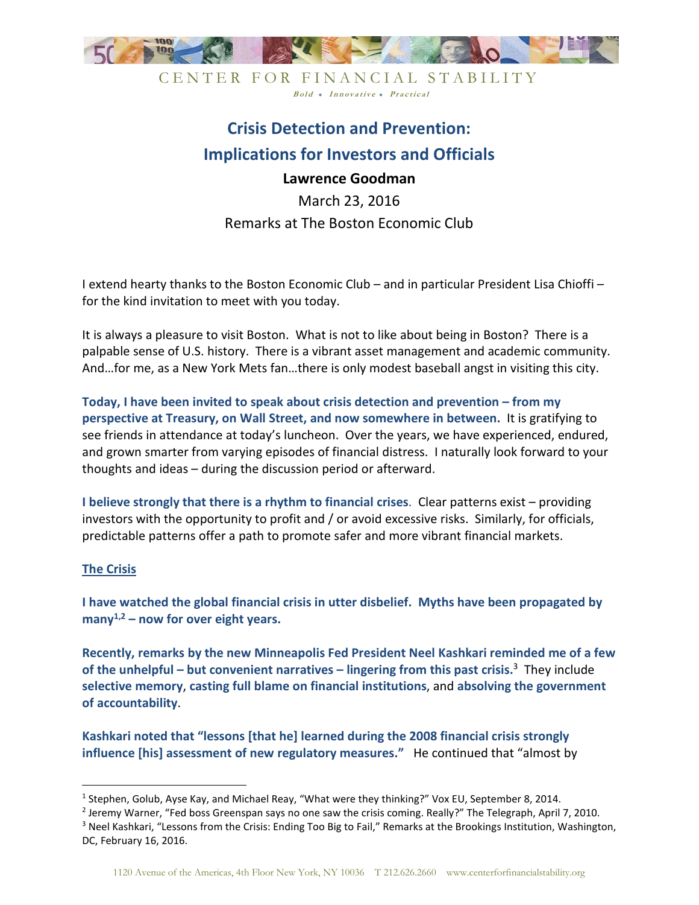

CENTER FOR FINANCIAL STABILITY Bold • Innovative • Practical

# **Crisis Detection and Prevention: Implications for Investors and Officials**

# **Lawrence Goodman**

March 23, 2016 Remarks at The Boston Economic Club

I extend hearty thanks to the Boston Economic Club – and in particular President Lisa Chioffi – for the kind invitation to meet with you today.

It is always a pleasure to visit Boston. What is not to like about being in Boston? There is a palpable sense of U.S. history. There is a vibrant asset management and academic community. And…for me, as a New York Mets fan…there is only modest baseball angst in visiting this city.

**Today, I have been invited to speak about crisis detection and prevention – from my perspective at Treasury, on Wall Street, and now somewhere in between.** It is gratifying to see friends in attendance at today's luncheon. Over the years, we have experienced, endured, and grown smarter from varying episodes of financial distress. I naturally look forward to your thoughts and ideas – during the discussion period or afterward.

**I believe strongly that there is a rhythm to financial crises**. Clear patterns exist – providing investors with the opportunity to profit and / or avoid excessive risks. Similarly, for officials, predictable patterns offer a path to promote safer and more vibrant financial markets.

### **The Crisis**

<u>.</u>

**I have watched the global financial crisis in utter disbelief. Myths have been propagated by many1,2 – now for over eight years.** 

**Recently, remarks by the new Minneapolis Fed President Neel Kashkari reminded me of a few of the unhelpful – but convenient narratives – lingering from this past crisis.**<sup>3</sup> They include **selective memory**, **casting full blame on financial institutions**, and **absolving the government of accountability**.

**Kashkari noted that "lessons [that he] learned during the 2008 financial crisis strongly influence [his] assessment of new regulatory measures."** He continued that "almost by

<sup>&</sup>lt;sup>1</sup> Stephen, Golub, Ayse Kay, and Michael Reay, "What were they thinking?" Vox EU, September 8, 2014.

<sup>&</sup>lt;sup>2</sup> Jeremy Warner, "Fed boss Greenspan says no one saw the crisis coming. Really?" The Telegraph, April 7, 2010.

<sup>&</sup>lt;sup>3</sup> Neel Kashkari, "Lessons from the Crisis: Ending Too Big to Fail," Remarks at the Brookings Institution, Washington, DC, February 16, 2016.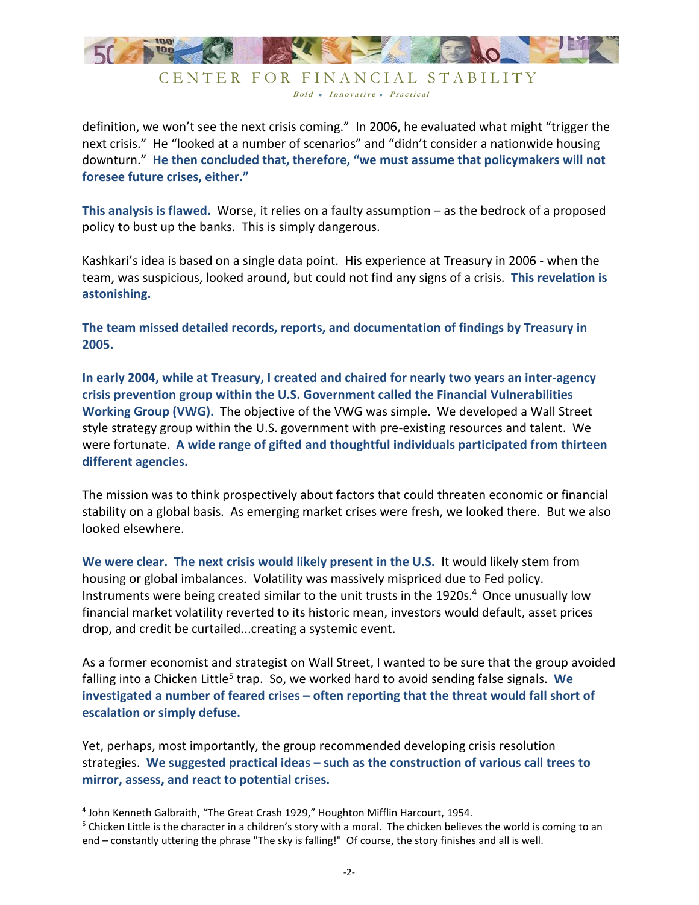

definition, we won't see the next crisis coming." In 2006, he evaluated what might "trigger the next crisis." He "looked at a number of scenarios" and "didn't consider a nationwide housing downturn." **He then concluded that, therefore, "we must assume that policymakers will not foresee future crises, either."**

**This analysis is flawed.** Worse, it relies on a faulty assumption – as the bedrock of a proposed policy to bust up the banks. This is simply dangerous.

Kashkari's idea is based on a single data point. His experience at Treasury in 2006 - when the team, was suspicious, looked around, but could not find any signs of a crisis. **This revelation is astonishing.**

**The team missed detailed records, reports, and documentation of findings by Treasury in 2005.** 

**In early 2004, while at Treasury, I created and chaired for nearly two years an inter-agency crisis prevention group within the U.S. Government called the Financial Vulnerabilities Working Group (VWG).** The objective of the VWG was simple. We developed a Wall Street style strategy group within the U.S. government with pre-existing resources and talent. We were fortunate. **A wide range of gifted and thoughtful individuals participated from thirteen different agencies.**

The mission was to think prospectively about factors that could threaten economic or financial stability on a global basis. As emerging market crises were fresh, we looked there. But we also looked elsewhere.

**We were clear. The next crisis would likely present in the U.S.** It would likely stem from housing or global imbalances. Volatility was massively mispriced due to Fed policy. Instruments were being created similar to the unit trusts in the 1920s.<sup>4</sup> Once unusually low financial market volatility reverted to its historic mean, investors would default, asset prices drop, and credit be curtailed...creating a systemic event.

As a former economist and strategist on Wall Street, I wanted to be sure that the group avoided falling into a Chicken Little<sup>5</sup> trap. So, we worked hard to avoid sending false signals. We **investigated a number of feared crises – often reporting that the threat would fall short of escalation or simply defuse.**

Yet, perhaps, most importantly, the group recommended developing crisis resolution strategies. **We suggested practical ideas – such as the construction of various call trees to mirror, assess, and react to potential crises.**

<u>.</u>

<sup>4</sup> John Kenneth Galbraith, "The Great Crash 1929," Houghton Mifflin Harcourt, 1954.

<sup>&</sup>lt;sup>5</sup> Chicken Little is the character in a children's story with a moral. The chicken believes the world is coming to an end – constantly uttering the phrase "The sky is falling!" Of course, the story finishes and all is well.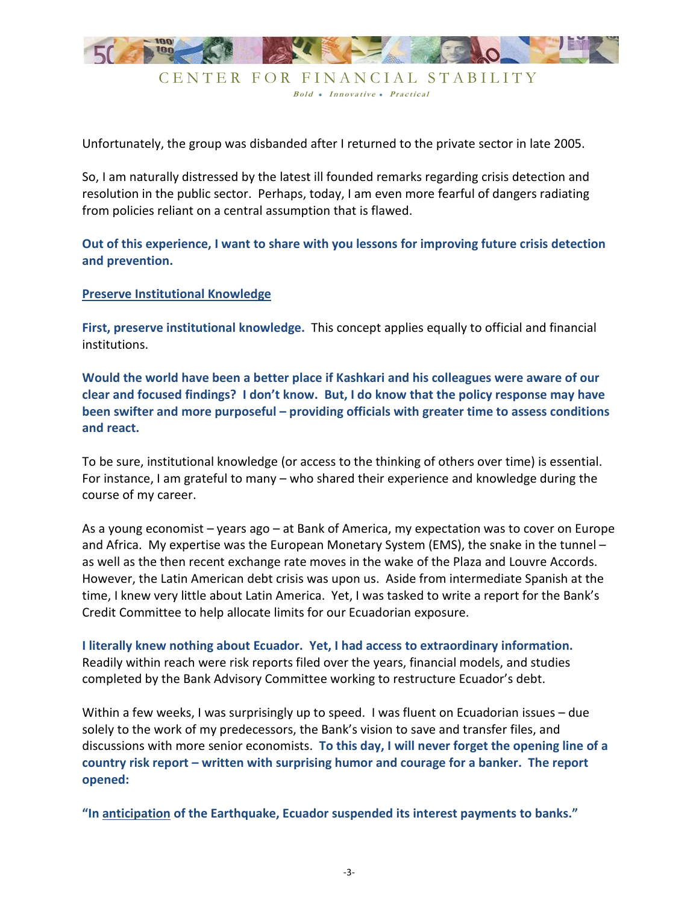

Unfortunately, the group was disbanded after I returned to the private sector in late 2005.

So, I am naturally distressed by the latest ill founded remarks regarding crisis detection and resolution in the public sector. Perhaps, today, I am even more fearful of dangers radiating from policies reliant on a central assumption that is flawed.

**Out of this experience, I want to share with you lessons for improving future crisis detection and prevention.** 

#### **Preserve Institutional Knowledge**

**First, preserve institutional knowledge.** This concept applies equally to official and financial institutions.

**Would the world have been a better place if Kashkari and his colleagues were aware of our clear and focused findings? I don't know. But, I do know that the policy response may have been swifter and more purposeful – providing officials with greater time to assess conditions and react.** 

To be sure, institutional knowledge (or access to the thinking of others over time) is essential. For instance, I am grateful to many – who shared their experience and knowledge during the course of my career.

As a young economist – years ago – at Bank of America, my expectation was to cover on Europe and Africa. My expertise was the European Monetary System (EMS), the snake in the tunnel – as well as the then recent exchange rate moves in the wake of the Plaza and Louvre Accords. However, the Latin American debt crisis was upon us. Aside from intermediate Spanish at the time, I knew very little about Latin America. Yet, I was tasked to write a report for the Bank's Credit Committee to help allocate limits for our Ecuadorian exposure.

**I literally knew nothing about Ecuador. Yet, I had access to extraordinary information.** Readily within reach were risk reports filed over the years, financial models, and studies completed by the Bank Advisory Committee working to restructure Ecuador's debt.

Within a few weeks, I was surprisingly up to speed. I was fluent on Ecuadorian issues – due solely to the work of my predecessors, the Bank's vision to save and transfer files, and discussions with more senior economists. **To this day, I will never forget the opening line of a country risk report – written with surprising humor and courage for a banker. The report opened:**

**"In anticipation of the Earthquake, Ecuador suspended its interest payments to banks."**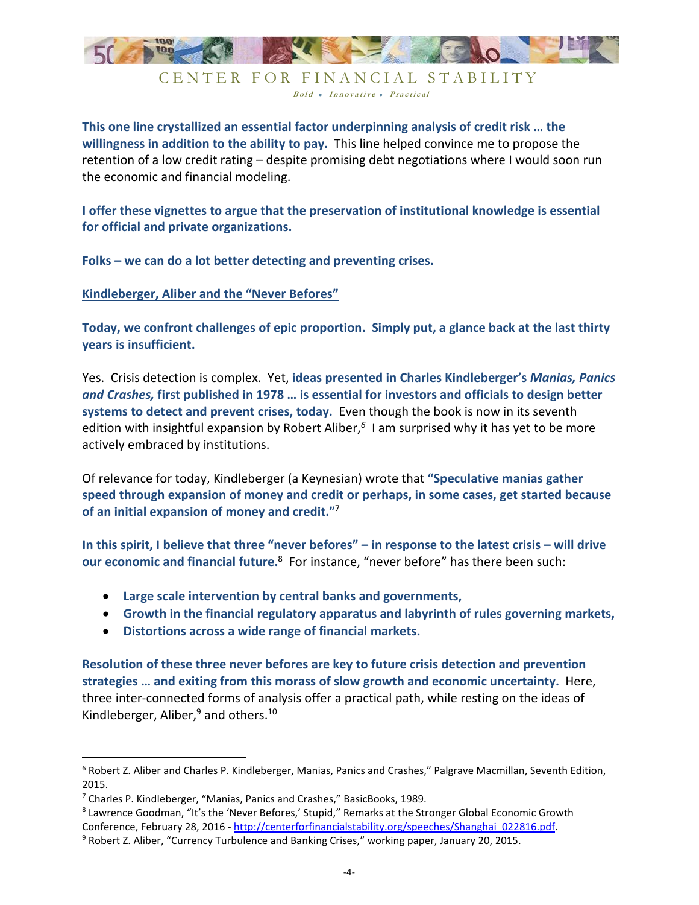

**This one line crystallized an essential factor underpinning analysis of credit risk … the willingness in addition to the ability to pay.** This line helped convince me to propose the retention of a low credit rating – despite promising debt negotiations where I would soon run the economic and financial modeling.

**I offer these vignettes to argue that the preservation of institutional knowledge is essential for official and private organizations.** 

**Folks – we can do a lot better detecting and preventing crises.**

**Kindleberger, Aliber and the "Never Befores"** 

**Today, we confront challenges of epic proportion. Simply put, a glance back at the last thirty years is insufficient.** 

Yes. Crisis detection is complex. Yet, **ideas presented in Charles Kindleberger's** *Manias, Panics and Crashes,* **first published in 1978 … is essential for investors and officials to design better systems to detect and prevent crises, today.** Even though the book is now in its seventh edition with insightful expansion by Robert Aliber,*<sup>6</sup>* I am surprised why it has yet to be more actively embraced by institutions.

Of relevance for today, Kindleberger (a Keynesian) wrote that **"Speculative manias gather speed through expansion of money and credit or perhaps, in some cases, get started because of an initial expansion of money and credit."**<sup>7</sup>

**In this spirit, I believe that three "never befores" – in response to the latest crisis – will drive**  our economic and financial future.<sup>8</sup> For instance, "never before" has there been such:

- **Large scale intervention by central banks and governments,**
- **Growth in the financial regulatory apparatus and labyrinth of rules governing markets,**
- **Distortions across a wide range of financial markets.**

**Resolution of these three never befores are key to future crisis detection and prevention strategies … and exiting from this morass of slow growth and economic uncertainty.** Here, three inter-connected forms of analysis offer a practical path, while resting on the ideas of Kindleberger, Aliber,<sup>9</sup> and others.<sup>10</sup>

<u>.</u>

<sup>&</sup>lt;sup>6</sup> Robert Z. Aliber and Charles P. Kindleberger, Manias, Panics and Crashes," Palgrave Macmillan, Seventh Edition, 2015.

<sup>&</sup>lt;sup>7</sup> Charles P. Kindleberger, "Manias, Panics and Crashes," BasicBooks, 1989.

<sup>&</sup>lt;sup>8</sup> Lawrence Goodman, "It's the 'Never Befores,' Stupid," Remarks at the Stronger Global Economic Growth Conference, February 28, 2016 - http://centerforfinancialstability.org/speeches/Shanghai\_022816.pdf.

<sup>&</sup>lt;sup>9</sup> Robert Z. Aliber, "Currency Turbulence and Banking Crises," working paper, January 20, 2015.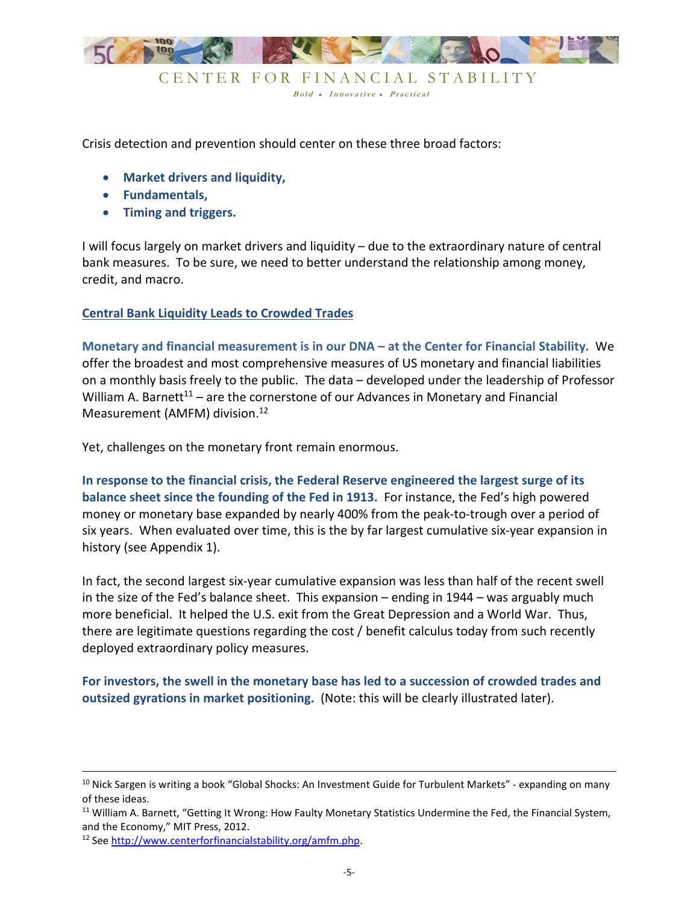

Crisis detection and prevention should center on these three broad factors:

- **Market drivers and liquidity,**
- **Fundamentals,**
- **Timing and triggers.**

I will focus largely on market drivers and liquidity – due to the extraordinary nature of central bank measures. To be sure, we need to better understand the relationship among money, credit, and macro.

#### **Central Bank Liquidity Leads to Crowded Trades**

**Monetary and financial measurement is in our DNA – at the Center for Financial Stability.** We offer the broadest and most comprehensive measures of US monetary and financial liabilities on a monthly basis freely to the public. The data – developed under the leadership of Professor William A. Barnett<sup>11</sup> – are the cornerstone of our Advances in Monetary and Financial Measurement (AMFM) division.<sup>12</sup>

Yet, challenges on the monetary front remain enormous.

**In response to the financial crisis, the Federal Reserve engineered the largest surge of its balance sheet since the founding of the Fed in 1913.** For instance, the Fed's high powered money or monetary base expanded by nearly 400% from the peak-to-trough over a period of six years. When evaluated over time, this is the by far largest cumulative six-year expansion in history (see Appendix 1).

In fact, the second largest six-year cumulative expansion was less than half of the recent swell in the size of the Fed's balance sheet. This expansion – ending in 1944 – was arguably much more beneficial. It helped the U.S. exit from the Great Depression and a World War. Thus, there are legitimate questions regarding the cost / benefit calculus today from such recently deployed extraordinary policy measures.

**For investors, the swell in the monetary base has led to a succession of crowded trades and outsized gyrations in market positioning.** (Note: this will be clearly illustrated later).

-

<sup>&</sup>lt;sup>10</sup> Nick Sargen is writing a book "Global Shocks: An Investment Guide for Turbulent Markets" - expanding on many of these ideas.

<sup>&</sup>lt;sup>11</sup> William A. Barnett, "Getting It Wrong: How Faulty Monetary Statistics Undermine the Fed, the Financial System, and the Economy," MIT Press, 2012.

<sup>12</sup> See http://www.centerforfinancialstability.org/amfm.php.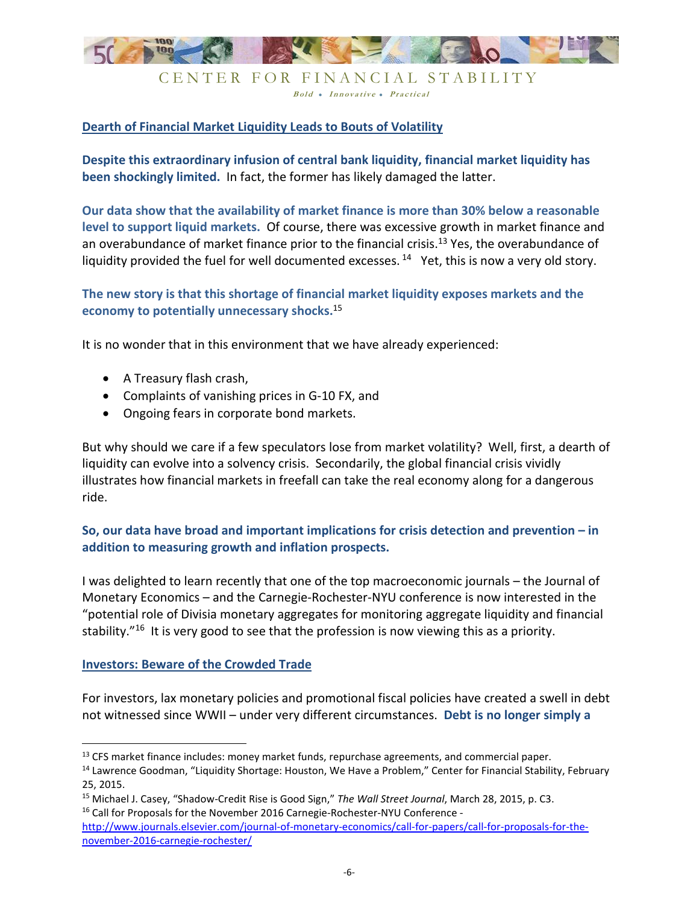

# **Dearth of Financial Market Liquidity Leads to Bouts of Volatility**

**Despite this extraordinary infusion of central bank liquidity, financial market liquidity has been shockingly limited.** In fact, the former has likely damaged the latter.

**Our data show that the availability of market finance is more than 30% below a reasonable level to support liquid markets.** Of course, there was excessive growth in market finance and an overabundance of market finance prior to the financial crisis.<sup>13</sup> Yes, the overabundance of liquidity provided the fuel for well documented excesses.  $14$  Yet, this is now a very old story.

## **The new story is that this shortage of financial market liquidity exposes markets and the economy to potentially unnecessary shocks.**<sup>15</sup>

It is no wonder that in this environment that we have already experienced:

- A Treasury flash crash,
- Complaints of vanishing prices in G-10 FX, and
- Ongoing fears in corporate bond markets.

But why should we care if a few speculators lose from market volatility? Well, first, a dearth of liquidity can evolve into a solvency crisis. Secondarily, the global financial crisis vividly illustrates how financial markets in freefall can take the real economy along for a dangerous ride.

# **So, our data have broad and important implications for crisis detection and prevention – in addition to measuring growth and inflation prospects.**

I was delighted to learn recently that one of the top macroeconomic journals – the Journal of Monetary Economics – and the Carnegie-Rochester-NYU conference is now interested in the "potential role of Divisia monetary aggregates for monitoring aggregate liquidity and financial stability."<sup>16</sup> It is very good to see that the profession is now viewing this as a priority.

#### **Investors: Beware of the Crowded Trade**

-

For investors, lax monetary policies and promotional fiscal policies have created a swell in debt not witnessed since WWII – under very different circumstances. **Debt is no longer simply a** 

<sup>16</sup> Call for Proposals for the November 2016 Carnegie-Rochester-NYU Conference -

<sup>&</sup>lt;sup>13</sup> CFS market finance includes: money market funds, repurchase agreements, and commercial paper.

<sup>&</sup>lt;sup>14</sup> Lawrence Goodman, "Liquidity Shortage: Houston, We Have a Problem," Center for Financial Stability, February 25, 2015.

<sup>15</sup> Michael J. Casey, "Shadow-Credit Rise is Good Sign," *The Wall Street Journal*, March 28, 2015, p. C3.

http://www.journals.elsevier.com/journal-of-monetary-economics/call-for-papers/call-for-proposals-for-thenovember-2016-carnegie-rochester/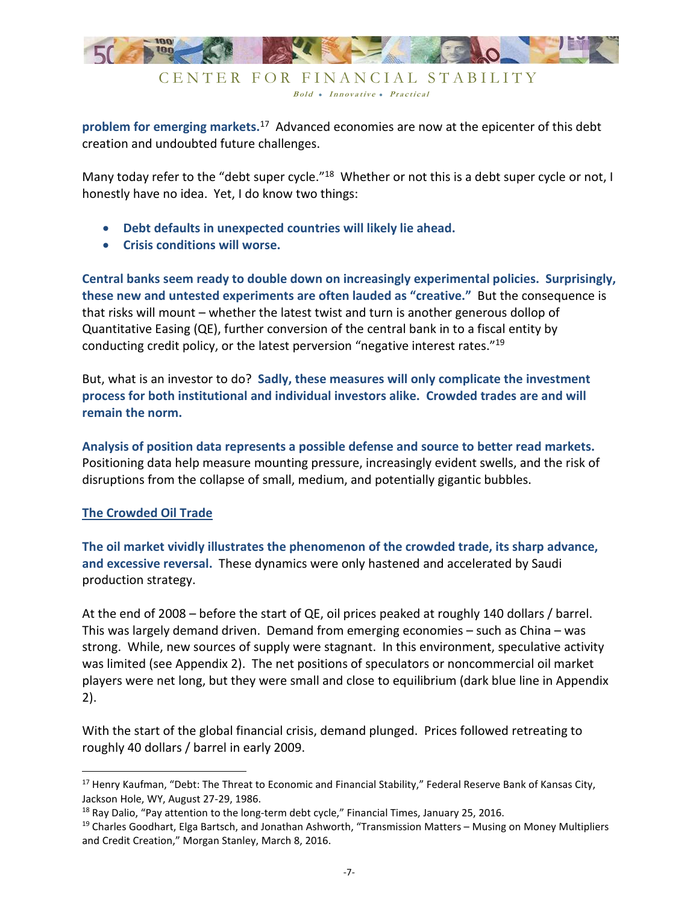

**problem for emerging markets.**<sup>17</sup> Advanced economies are now at the epicenter of this debt creation and undoubted future challenges.

Many today refer to the "debt super cycle."<sup>18</sup> Whether or not this is a debt super cycle or not, I honestly have no idea. Yet, I do know two things:

- **Debt defaults in unexpected countries will likely lie ahead.**
- **Crisis conditions will worse.**

**Central banks seem ready to double down on increasingly experimental policies. Surprisingly, these new and untested experiments are often lauded as "creative."** But the consequence is that risks will mount – whether the latest twist and turn is another generous dollop of Quantitative Easing (QE), further conversion of the central bank in to a fiscal entity by conducting credit policy, or the latest perversion "negative interest rates."<sup>19</sup>

But, what is an investor to do? **Sadly, these measures will only complicate the investment process for both institutional and individual investors alike. Crowded trades are and will remain the norm.**

**Analysis of position data represents a possible defense and source to better read markets.** Positioning data help measure mounting pressure, increasingly evident swells, and the risk of disruptions from the collapse of small, medium, and potentially gigantic bubbles.

### **The Crowded Oil Trade**

-

**The oil market vividly illustrates the phenomenon of the crowded trade, its sharp advance, and excessive reversal.** These dynamics were only hastened and accelerated by Saudi production strategy.

At the end of 2008 – before the start of QE, oil prices peaked at roughly 140 dollars / barrel. This was largely demand driven. Demand from emerging economies – such as China – was strong. While, new sources of supply were stagnant. In this environment, speculative activity was limited (see Appendix 2). The net positions of speculators or noncommercial oil market players were net long, but they were small and close to equilibrium (dark blue line in Appendix 2).

With the start of the global financial crisis, demand plunged. Prices followed retreating to roughly 40 dollars / barrel in early 2009.

<sup>&</sup>lt;sup>17</sup> Henry Kaufman, "Debt: The Threat to Economic and Financial Stability," Federal Reserve Bank of Kansas City, Jackson Hole, WY, August 27-29, 1986.

<sup>&</sup>lt;sup>18</sup> Ray Dalio, "Pay attention to the long-term debt cycle," Financial Times, January 25, 2016.

<sup>&</sup>lt;sup>19</sup> Charles Goodhart, Elga Bartsch, and Jonathan Ashworth, "Transmission Matters – Musing on Money Multipliers and Credit Creation," Morgan Stanley, March 8, 2016.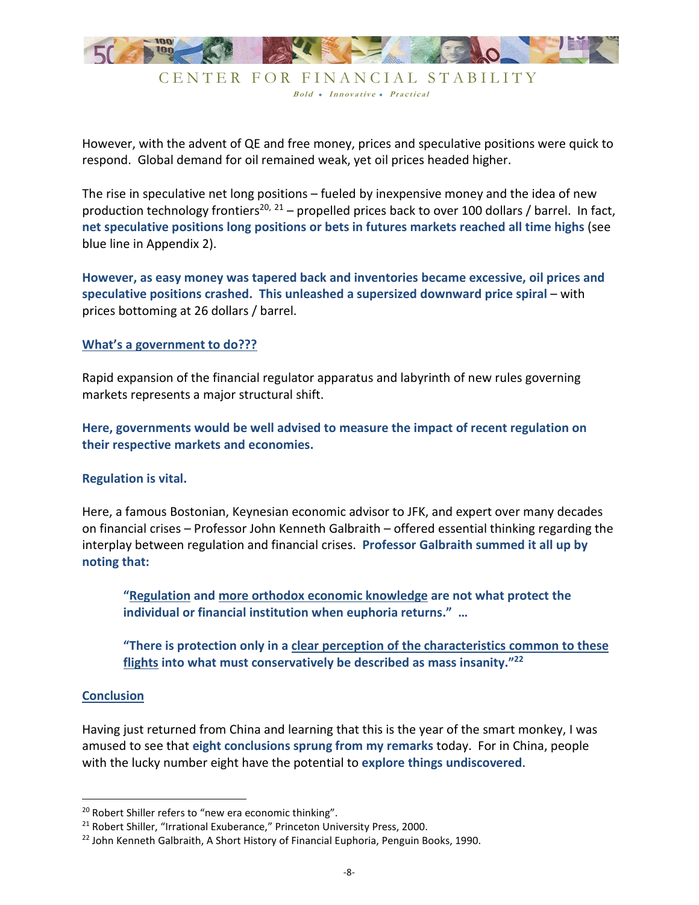

However, with the advent of QE and free money, prices and speculative positions were quick to respond. Global demand for oil remained weak, yet oil prices headed higher.

The rise in speculative net long positions – fueled by inexpensive money and the idea of new production technology frontiers<sup>20, 21</sup> – propelled prices back to over 100 dollars / barrel. In fact, **net speculative positions long positions or bets in futures markets reached all time highs** (see blue line in Appendix 2).

**However, as easy money was tapered back and inventories became excessive, oil prices and speculative positions crashed. This unleashed a supersized downward price spiral** – with prices bottoming at 26 dollars / barrel.

#### **What's a government to do???**

Rapid expansion of the financial regulator apparatus and labyrinth of new rules governing markets represents a major structural shift.

**Here, governments would be well advised to measure the impact of recent regulation on their respective markets and economies.** 

#### **Regulation is vital.**

Here, a famous Bostonian, Keynesian economic advisor to JFK, and expert over many decades on financial crises – Professor John Kenneth Galbraith – offered essential thinking regarding the interplay between regulation and financial crises. **Professor Galbraith summed it all up by noting that:** 

**"Regulation and more orthodox economic knowledge are not what protect the individual or financial institution when euphoria returns." …** 

**"There is protection only in a clear perception of the characteristics common to these flights into what must conservatively be described as mass insanity."<sup>22</sup>**

#### **Conclusion**

<u>.</u>

Having just returned from China and learning that this is the year of the smart monkey, I was amused to see that **eight conclusions sprung from my remarks** today. For in China, people with the lucky number eight have the potential to **explore things undiscovered**.

<sup>&</sup>lt;sup>20</sup> Robert Shiller refers to "new era economic thinking".

<sup>&</sup>lt;sup>21</sup> Robert Shiller, "Irrational Exuberance," Princeton University Press, 2000.

<sup>&</sup>lt;sup>22</sup> John Kenneth Galbraith, A Short History of Financial Euphoria, Penguin Books, 1990.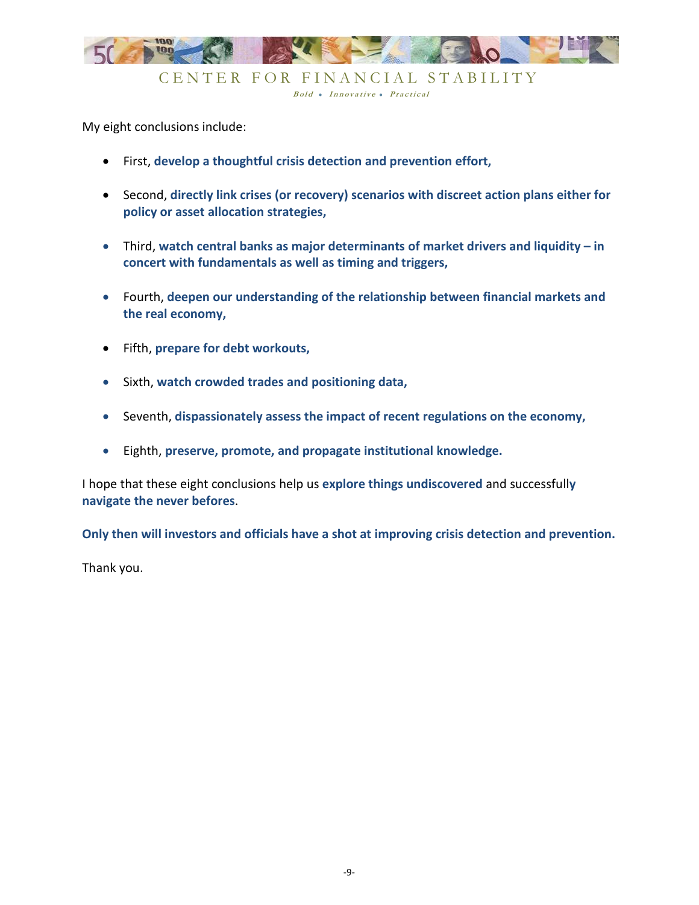

My eight conclusions include:

- First, **develop a thoughtful crisis detection and prevention effort,**
- Second, **directly link crises (or recovery) scenarios with discreet action plans either for policy or asset allocation strategies,**
- Third, **watch central banks as major determinants of market drivers and liquidity in concert with fundamentals as well as timing and triggers,**
- Fourth, **deepen our understanding of the relationship between financial markets and the real economy,**
- Fifth, **prepare for debt workouts,**
- Sixth, **watch crowded trades and positioning data,**
- Seventh, **dispassionately assess the impact of recent regulations on the economy,**
- Eighth, **preserve, promote, and propagate institutional knowledge.**

I hope that these eight conclusions help us **explore things undiscovered** and successfull**y navigate the never befores**.

**Only then will investors and officials have a shot at improving crisis detection and prevention.** 

Thank you.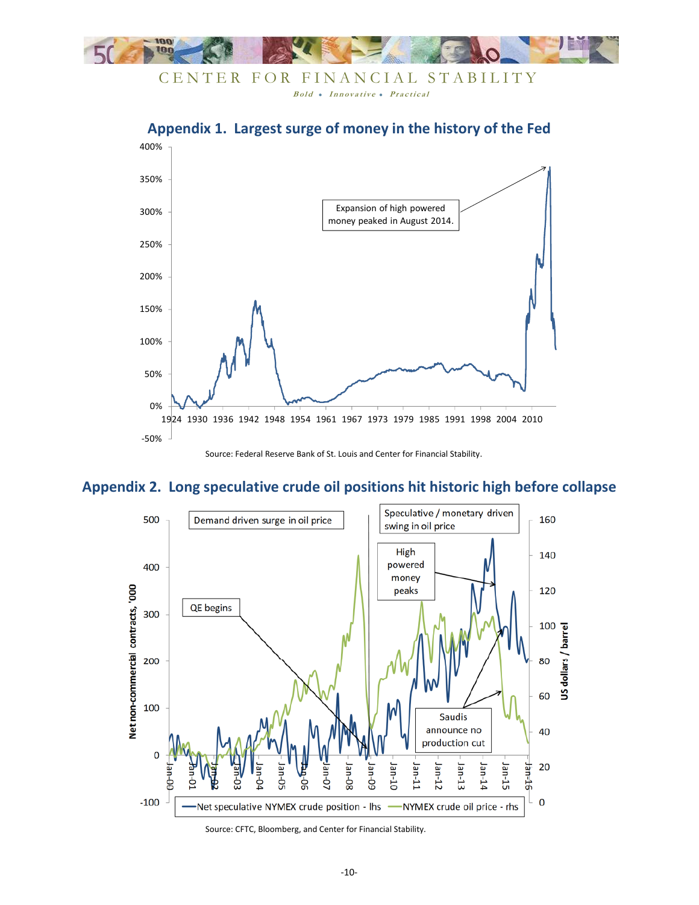



# **Appendix 1. Largest surge of money in the history of the Fed**

# **Appendix 2. Long speculative crude oil positions hit historic high before collapse**



Source: CFTC, Bloomberg, and Center for Financial Stability.